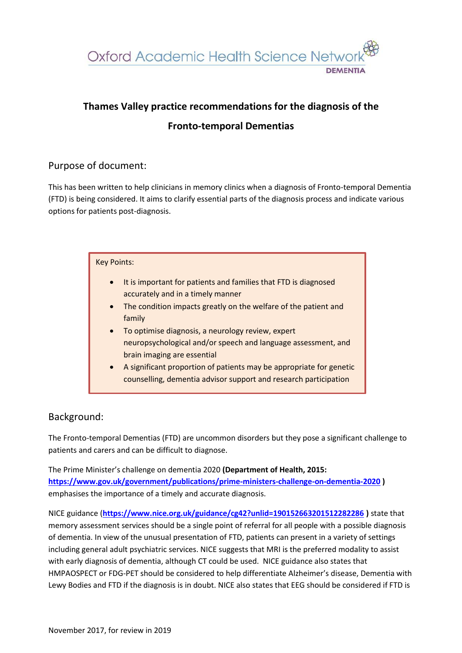

# **Thames Valley practice recommendations for the diagnosis of the**

# **Fronto-temporal Dementias**

## Purpose of document:

This has been written to help clinicians in memory clinics when a diagnosis of Fronto-temporal Dementia (FTD) is being considered. It aims to clarify essential parts of the diagnosis process and indicate various options for patients post-diagnosis.

| <b>Key Points:</b>                                                                                                                                             |  |  |  |  |  |  |
|----------------------------------------------------------------------------------------------------------------------------------------------------------------|--|--|--|--|--|--|
| It is important for patients and families that FTD is diagnosed<br>$\bullet$<br>accurately and in a timely manner                                              |  |  |  |  |  |  |
| The condition impacts greatly on the welfare of the patient and<br>$\bullet$<br>family                                                                         |  |  |  |  |  |  |
| To optimise diagnosis, a neurology review, expert<br>$\bullet$<br>neuropsychological and/or speech and language assessment, and<br>brain imaging are essential |  |  |  |  |  |  |
| A significant proportion of patients may be appropriate for genetic<br>$\bullet$<br>counselling, dementia advisor support and research participation           |  |  |  |  |  |  |

# Background:

The Fronto-temporal Dementias (FTD) are uncommon disorders but they pose a significant challenge to patients and carers and can be difficult to diagnose.

The Prime Minister's challenge on dementia 2020 **(Department of Health, 2015: <https://www.gov.uk/government/publications/prime-ministers-challenge-on-dementia-2020> )**  emphasises the importance of a timely and accurate diagnosis.

NICE guidance (**<https://www.nice.org.uk/guidance/cg42?unlid=190152663201512282286> )** state that memory assessment services should be a single point of referral for all people with a possible diagnosis of dementia. In view of the unusual presentation of FTD, patients can present in a variety of settings including general adult psychiatric services. NICE suggests that MRI is the preferred modality to assist with early diagnosis of dementia, although CT could be used. NICE guidance also states that HMPAOSPECT or FDG-PET should be considered to help differentiate Alzheimer's disease, Dementia with Lewy Bodies and FTD if the diagnosis is in doubt. NICE also states that EEG should be considered if FTD is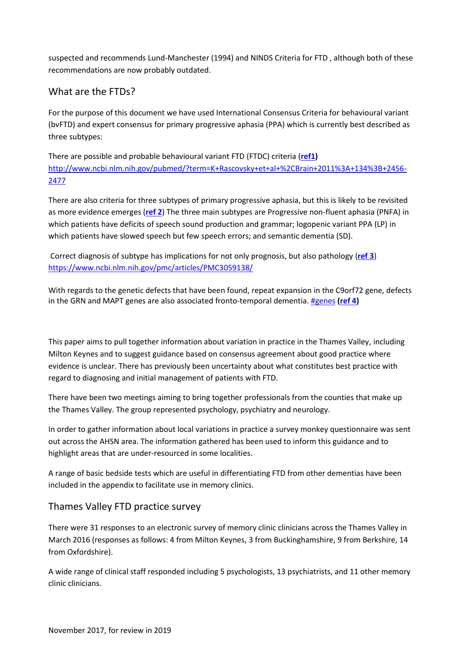suspected and recommends Lund-Manchester (1994) and NINDS Criteria for FTD , although both of these recommendations are now probably outdated.

# What are the FTDs?

For the purpose of this document we have used International Consensus Criteria for behavioural variant (bvFTD) and expert consensus for primary progressive aphasia (PPA) which is currently best described as three subtypes:

There are possible and probable behavioural variant FTD (FTDC) criteria (**[ref1\)](#page-7-0)**  [http://www.ncbi.nlm.nih.gov/pubmed/?term=K+Rascovsky+et+al+%2CBrain+2011%3A+134%3B+2456-](http://www.ncbi.nlm.nih.gov/pubmed/?term=K+Rascovsky+et+al+%2CBrain+2011%3A+134%3B+2456-2477) [2477](http://www.ncbi.nlm.nih.gov/pubmed/?term=K+Rascovsky+et+al+%2CBrain+2011%3A+134%3B+2456-2477)

There are also criteria for three subtypes of primary progressive aphasia, but this is likely to be revisited as more evidence emerges (**[ref 2](#page-7-1)**) The three main subtypes are Progressive non-fluent aphasia (PNFA) in which patients have deficits of speech sound production and grammar; logopenic variant PPA (LP) in which patients have slowed speech but few speech errors; and semantic dementia (SD).

Correct diagnosis of subtype has implications for not only prognosis, but also pathology (**[ref 3](#page-7-2)**) <https://www.ncbi.nlm.nih.gov/pmc/articles/PMC3059138/>

With regards to the genetic defects that have been found, repeat expansion in the C9orf72 gene, defects in the GRN and MAPT genes are also associated fronto-temporal dementia[. #genes](#page-7-3) **[\(ref 4\)](#page-7-3)**

This paper aims to pull together information about variation in practice in the Thames Valley, including Milton Keynes and to suggest guidance based on consensus agreement about good practice where evidence is unclear. There has previously been uncertainty about what constitutes best practice with regard to diagnosing and initial management of patients with FTD.

There have been two meetings aiming to bring together professionals from the counties that make up the Thames Valley. The group represented psychology, psychiatry and neurology.

In order to gather information about local variations in practice a survey monkey questionnaire was sent out across the AHSN area. The information gathered has been used to inform this guidance and to highlight areas that are under-resourced in some localities.

A range of basic bedside tests which are useful in differentiating FTD from other dementias have been included in the appendix to facilitate use in memory clinics.

# Thames Valley FTD practice survey

There were 31 responses to an electronic survey of memory clinic clinicians across the Thames Valley in March 2016 (responses as follows: 4 from Milton Keynes, 3 from Buckinghamshire, 9 from Berkshire, 14 from Oxfordshire).

A wide range of clinical staff responded including 5 psychologists, 13 psychiatrists, and 11 other memory clinic clinicians.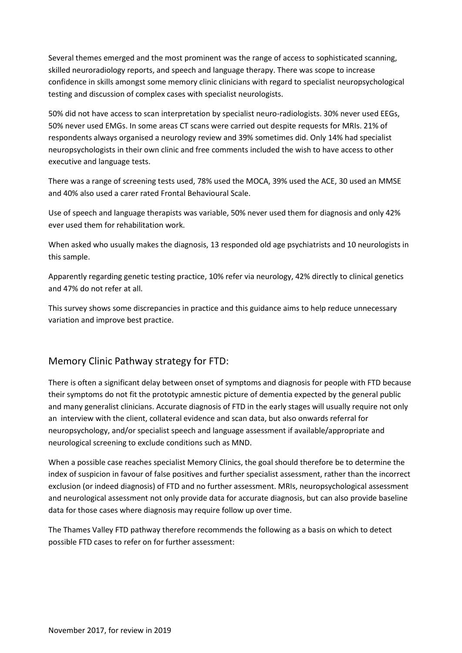Several themes emerged and the most prominent was the range of access to sophisticated scanning, skilled neuroradiology reports, and speech and language therapy. There was scope to increase confidence in skills amongst some memory clinic clinicians with regard to specialist neuropsychological testing and discussion of complex cases with specialist neurologists.

50% did not have access to scan interpretation by specialist neuro-radiologists. 30% never used EEGs, 50% never used EMGs. In some areas CT scans were carried out despite requests for MRIs. 21% of respondents always organised a neurology review and 39% sometimes did. Only 14% had specialist neuropsychologists in their own clinic and free comments included the wish to have access to other executive and language tests.

There was a range of screening tests used, 78% used the MOCA, 39% used the ACE, 30 used an MMSE and 40% also used a carer rated Frontal Behavioural Scale.

Use of speech and language therapists was variable, 50% never used them for diagnosis and only 42% ever used them for rehabilitation work.

When asked who usually makes the diagnosis, 13 responded old age psychiatrists and 10 neurologists in this sample.

Apparently regarding genetic testing practice, 10% refer via neurology, 42% directly to clinical genetics and 47% do not refer at all.

This survey shows some discrepancies in practice and this guidance aims to help reduce unnecessary variation and improve best practice.

## Memory Clinic Pathway strategy for FTD:

There is often a significant delay between onset of symptoms and diagnosis for people with FTD because their symptoms do not fit the prototypic amnestic picture of dementia expected by the general public and many generalist clinicians. Accurate diagnosis of FTD in the early stages will usually require not only an interview with the client, collateral evidence and scan data, but also onwards referral for neuropsychology, and/or specialist speech and language assessment if available/appropriate and neurological screening to exclude conditions such as MND.

When a possible case reaches specialist Memory Clinics, the goal should therefore be to determine the index of suspicion in favour of false positives and further specialist assessment, rather than the incorrect exclusion (or indeed diagnosis) of FTD and no further assessment. MRIs, neuropsychological assessment and neurological assessment not only provide data for accurate diagnosis, but can also provide baseline data for those cases where diagnosis may require follow up over time.

The Thames Valley FTD pathway therefore recommends the following as a basis on which to detect possible FTD cases to refer on for further assessment: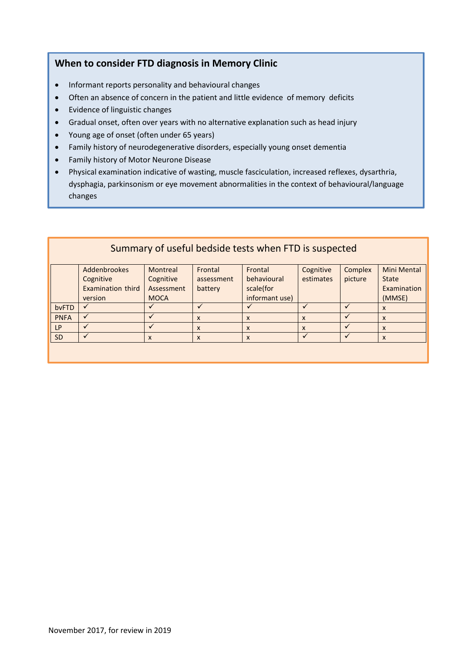# **When to consider FTD diagnosis in Memory Clinic**

- Informant reports personality and behavioural changes
- Often an absence of concern in the patient and little evidence of memory deficits
- Evidence of linguistic changes
- Gradual onset, often over years with no alternative explanation such as head injury
- Young age of onset (often under 65 years)
- Family history of neurodegenerative disorders, especially young onset dementia
- Family history of Motor Neurone Disease
- Physical examination indicative of wasting, muscle fasciculation, increased reflexes, dysarthria, dysphagia, parkinsonism or eye movement abnormalities in the context of behavioural/language changes

| Summary of useful bedside tests when FTD is suspected |                          |             |              |                           |                           |         |                    |
|-------------------------------------------------------|--------------------------|-------------|--------------|---------------------------|---------------------------|---------|--------------------|
|                                                       | Addenbrookes             | Montreal    | Frontal      | Frontal                   | Cognitive                 | Complex | <b>Mini Mental</b> |
|                                                       | Cognitive                | Cognitive   | assessment   | behavioural               | estimates                 | picture | <b>State</b>       |
|                                                       | <b>Examination third</b> | Assessment  | battery      | scale(for                 |                           |         | Examination        |
|                                                       | version                  | <b>MOCA</b> |              | informant use)            |                           |         | (MMSE)             |
| bvFTD                                                 | $\checkmark$             |             |              |                           |                           |         | X                  |
| <b>PNFA</b>                                           | $\checkmark$             |             | $\mathsf{x}$ | $\boldsymbol{\mathsf{x}}$ | X                         |         | X                  |
| <b>LP</b>                                             |                          |             | $\mathsf{x}$ | X                         | $\boldsymbol{\mathsf{x}}$ |         | X                  |
| SD                                                    |                          | X           | X            | X                         |                           |         | X                  |
|                                                       |                          |             |              |                           |                           |         |                    |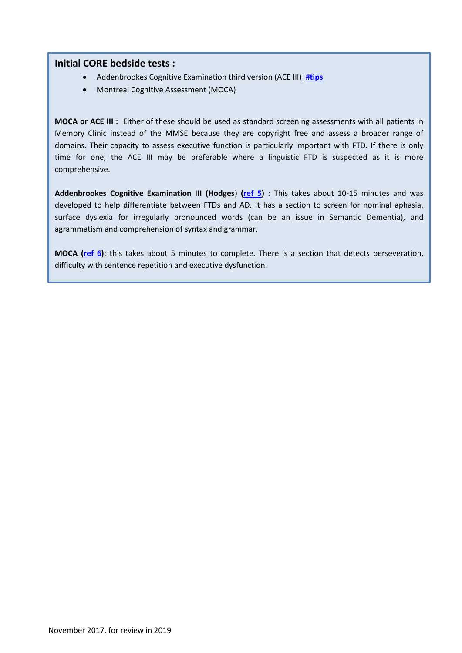### **Initial CORE bedside tests :**

- Addenbrookes Cognitive Examination third version (ACE III) **[#tips](#page-13-0)**
- Montreal Cognitive Assessment (MOCA)

**MOCA or ACE III :** Either of these should be used as standard screening assessments with all patients in Memory Clinic instead of the MMSE because they are copyright free and assess a broader range of domains. Their capacity to assess executive function is particularly important with FTD. If there is only time for one, the ACE III may be preferable where a linguistic FTD is suspected as it is more comprehensive.

**Addenbrookes Cognitive Examination III (Hodges**) **[\(ref 5\)](#page-7-4)** : This takes about 10-15 minutes and was developed to help differentiate between FTDs and AD. It has a section to screen for nominal aphasia, surface dyslexia for irregularly pronounced words (can be an issue in Semantic Dementia), and agrammatism and comprehension of syntax and grammar.

**MOCA [\(ref 6\)](#page-7-5)**: this takes about 5 minutes to complete. There is a section that detects perseveration, difficulty with sentence repetition and executive dysfunction.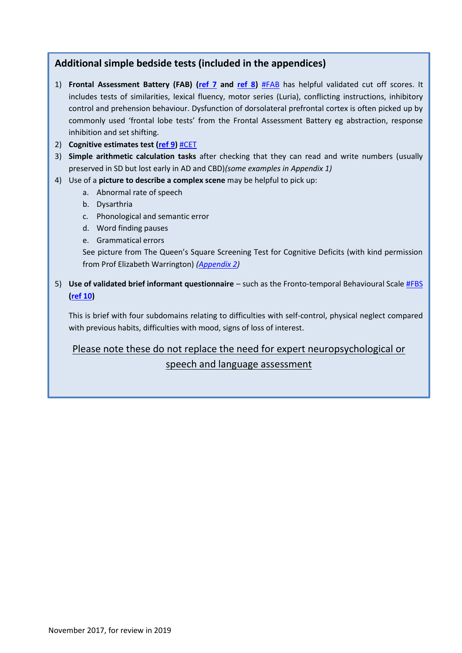# **Additional simple bedside tests (included in the appendices)**

- 1) **Frontal Assessment Battery (FAB) [\(ref 7](#page-7-6) and [ref 8\)](#page-7-7)** [#FAB](#page-9-0) has helpful validated cut off scores. It includes tests of similarities, lexical fluency, motor series (Luria), conflicting instructions, inhibitory control and prehension behaviour. Dysfunction of dorsolateral prefrontal cortex is often picked up by commonly used 'frontal lobe tests' from the Frontal Assessment Battery eg abstraction, response inhibition and set shifting.
- 2) **Cognitive estimates test [\(ref 9\)](#page-7-8)** [#CET](#page-13-0)
- 3) **Simple arithmetic calculation tasks** after checking that they can read and write numbers (usually preserved in SD but lost early in AD and CBD)*(some examples in Appendix 1)*
- 4) Use of a **picture to describe a complex scene** may be helpful to pick up:
	- a. Abnormal rate of speech
	- b. Dysarthria
	- c. Phonological and semantic error
	- d. Word finding pauses
	- e. Grammatical errors

See picture from The Queen's Square Screening Test for Cognitive Deficits (with kind permission from Prof Elizabeth Warrington) *[\(Appendix 2\)](#page-14-0)*

5) **Use of validated brief informant questionnaire** – such as the Fronto-temporal Behavioural Scal[e #FBS](#page-8-0)  **[\(ref 10\)](#page-7-9)**

This is brief with four subdomains relating to difficulties with self-control, physical neglect compared with previous habits, difficulties with mood, signs of loss of interest.

Please note these do not replace the need for expert neuropsychological or

speech and language assessment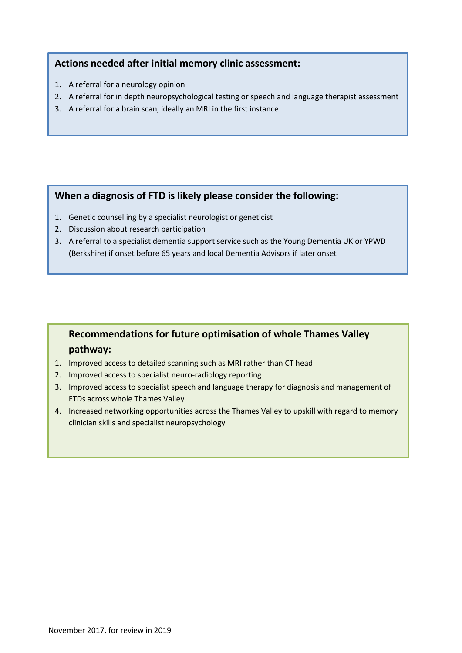# **Actions needed after initial memory clinic assessment:**

- 1. A referral for a neurology opinion
- 2. A referral for in depth neuropsychological testing or speech and language therapist assessment
- 3. A referral for a brain scan, ideally an MRI in the first instance

### **When a diagnosis of FTD is likely please consider the following:**

- 1. Genetic counselling by a specialist neurologist or geneticist
- 2. Discussion about research participation
- 3. A referral to a specialist dementia support service such as the Young Dementia UK or YPWD (Berkshire) if onset before 65 years and local Dementia Advisors if later onset

# **Recommendations for future optimisation of whole Thames Valley pathway:**

- 1. Improved access to detailed scanning such as MRI rather than CT head
- 2. Improved access to specialist neuro-radiology reporting
- 3. Improved access to specialist speech and language therapy for diagnosis and management of FTDs across whole Thames Valley
- 4. Increased networking opportunities across the Thames Valley to upskill with regard to memory clinician skills and specialist neuropsychology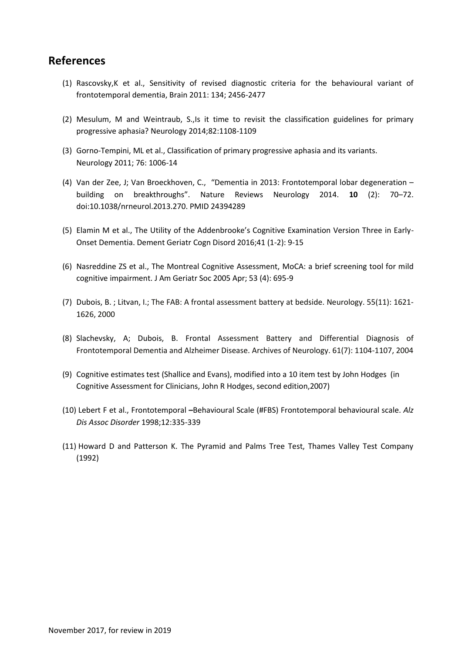# **References**

- <span id="page-7-0"></span>(1) Rascovsky,K et al., Sensitivity of revised diagnostic criteria for the behavioural variant of frontotemporal dementia, Brain 2011: 134; 2456-2477
- <span id="page-7-1"></span>(2) Mesulum, M and Weintraub, S.,Is it time to revisit the classification guidelines for primary progressive aphasia? Neurology 2014;82:1108-1109
- <span id="page-7-2"></span>(3) Gorno-Tempini, ML et al., Classification of primary progressive aphasia and its variants. Neurology 2011; 76: 1006-14
- <span id="page-7-3"></span>(4) Van der Zee, J; Van Broeckhoven, C., "Dementia in 2013: Frontotemporal lobar degeneration – building on breakthroughs". Nature Reviews Neurology 2014. **10** (2): 70–72. doi:10.1038/nrneurol.2013.270. PMID 24394289
- <span id="page-7-4"></span>(5) Elamin M et al., The Utility of the Addenbrooke's Cognitive Examination Version Three in Early-Onset Dementia. Dement Geriatr Cogn Disord 2016;41 (1-2): 9-15
- <span id="page-7-5"></span>(6) Nasreddine ZS et al., The Montreal Cognitive Assessment, MoCA: a brief screening tool for mild cognitive impairment. J Am Geriatr Soc 2005 Apr; 53 (4): 695-9
- <span id="page-7-6"></span>(7) Dubois, B. ; Litvan, I.; The FAB: A frontal assessment battery at bedside. Neurology. 55(11): 1621- 1626, 2000
- <span id="page-7-7"></span>(8) Slachevsky, A; Dubois, B. Frontal Assessment Battery and Differential Diagnosis of Frontotemporal Dementia and Alzheimer Disease. Archives of Neurology. 61(7): 1104-1107, 2004
- <span id="page-7-8"></span>(9) Cognitive estimates test (Shallice and Evans), modified into a 10 item test by John Hodges (in Cognitive Assessment for Clinicians, John R Hodges, second edition,2007)
- <span id="page-7-9"></span>(10) Lebert F et al., Frontotemporal **–**Behavioural Scale (#FBS) Frontotemporal behavioural scale. *Alz Dis Assoc Disorder* 1998;12:335-339
- <span id="page-7-10"></span>(11) Howard D and Patterson K. The Pyramid and Palms Tree Test, Thames Valley Test Company (1992)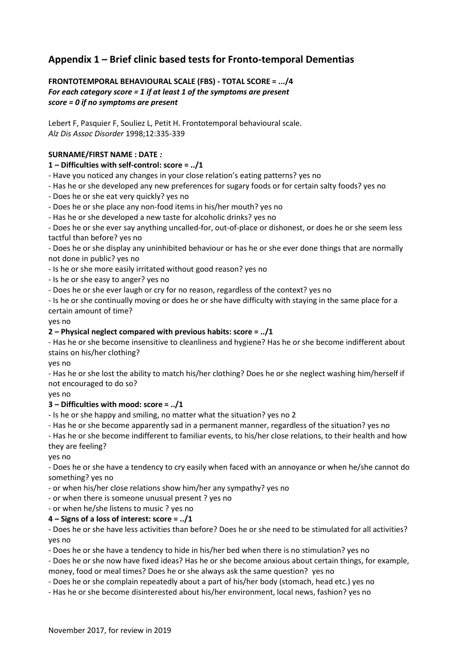# **Appendix 1 – Brief clinic based tests for Fronto-temporal Dementias**

<span id="page-8-0"></span>**FRONTOTEMPORAL BEHAVIOURAL SCALE (FBS) - TOTAL SCORE = .../4**  *For each category score = 1 if at least 1 of the symptoms are present score = 0 if no symptoms are present* 

Lebert F, Pasquier F, Souliez L, Petit H. Frontotemporal behavioural scale. *Alz Dis Assoc Disorder* 1998;12:335-339

### **SURNAME/FIRST NAME : DATE** *:*

### **1 – Difficulties with self-control: score = ../1**

- Have you noticed any changes in your close relation's eating patterns? yes no

- Has he or she developed any new preferences for sugary foods or for certain salty foods? yes no
- Does he or she eat very quickly? yes no
- Does he or she place any non-food items in his/her mouth? yes no
- Has he or she developed a new taste for alcoholic drinks? yes no

- Does he or she ever say anything uncalled-for, out-of-place or dishonest, or does he or she seem less tactful than before? yes no

- Does he or she display any uninhibited behaviour or has he or she ever done things that are normally not done in public? yes no

- Is he or she more easily irritated without good reason? yes no
- Is he or she easy to anger? yes no
- Does he or she ever laugh or cry for no reason, regardless of the context? yes no

- Is he or she continually moving or does he or she have difficulty with staying in the same place for a certain amount of time?

yes no

### **2 – Physical neglect compared with previous habits: score = ../1**

- Has he or she become insensitive to cleanliness and hygiene? Has he or she become indifferent about stains on his/her clothing?

yes no

- Has he or she lost the ability to match his/her clothing? Does he or she neglect washing him/herself if not encouraged to do so?

yes no

### **3 – Difficulties with mood: score = ../1**

- Is he or she happy and smiling, no matter what the situation? yes no 2

- Has he or she become apparently sad in a permanent manner, regardless of the situation? yes no

- Has he or she become indifferent to familiar events, to his/her close relations, to their health and how they are feeling?

yes no

- Does he or she have a tendency to cry easily when faced with an annoyance or when he/she cannot do something? yes no

- or when his/her close relations show him/her any sympathy? yes no
- or when there is someone unusual present ? yes no
- or when he/she listens to music ? yes no

### **4 – Signs of a loss of interest: score = ../1**

- Does he or she have less activities than before? Does he or she need to be stimulated for all activities? yes no

- Does he or she have a tendency to hide in his/her bed when there is no stimulation? yes no

- Does he or she now have fixed ideas? Has he or she become anxious about certain things, for example,

money, food or meal times? Does he or she always ask the same question? yes no

- Does he or she complain repeatedly about a part of his/her body (stomach, head etc.) yes no

- Has he or she become disinterested about his/her environment, local news, fashion? yes no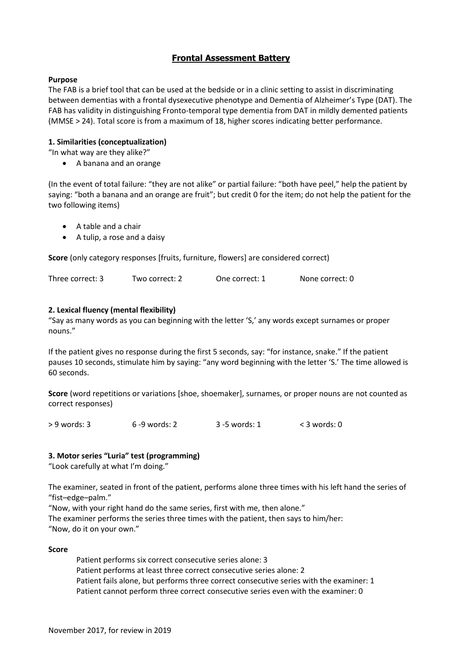### **Frontal Assessment Battery**

### <span id="page-9-0"></span>**Purpose**

The FAB is a brief tool that can be used at the bedside or in a clinic setting to assist in discriminating between dementias with a frontal dysexecutive phenotype and Dementia of Alzheimer's Type (DAT). The FAB has validity in distinguishing Fronto-temporal type dementia from DAT in mildly demented patients (MMSE > 24). Total score is from a maximum of 18, higher scores indicating better performance.

### **1. Similarities (conceptualization)**

"In what way are they alike?"

A banana and an orange

(In the event of total failure: "they are not alike" or partial failure: "both have peel," help the patient by saying: "both a banana and an orange are fruit"; but credit 0 for the item; do not help the patient for the two following items)

- A table and a chair
- A tulip, a rose and a daisy

**Score** (only category responses [fruits, furniture, flowers] are considered correct)

| Three correct: 3 | Two correct: 2 | One correct: 1 | None correct: 0 |
|------------------|----------------|----------------|-----------------|
|                  |                |                |                 |

### **2. Lexical fluency (mental flexibility)**

"Say as many words as you can beginning with the letter 'S,' any words except surnames or proper nouns."

If the patient gives no response during the first 5 seconds, say: "for instance, snake." If the patient pauses 10 seconds, stimulate him by saying: "any word beginning with the letter 'S.' The time allowed is 60 seconds.

**Score** (word repetitions or variations [shoe, shoemaker], surnames, or proper nouns are not counted as correct responses)

> 9 words: 3 6 -9 words: 2 3 -5 words: 1 < 3 words: 0

### **3. Motor series "Luria" test (programming)**

"Look carefully at what I'm doing."

The examiner, seated in front of the patient, performs alone three times with his left hand the series of "fist–edge–palm."

"Now, with your right hand do the same series, first with me, then alone."

The examiner performs the series three times with the patient, then says to him/her:

"Now, do it on your own."

### **Score**

Patient performs six correct consecutive series alone: 3 Patient performs at least three correct consecutive series alone: 2 Patient fails alone, but performs three correct consecutive series with the examiner: 1 Patient cannot perform three correct consecutive series even with the examiner: 0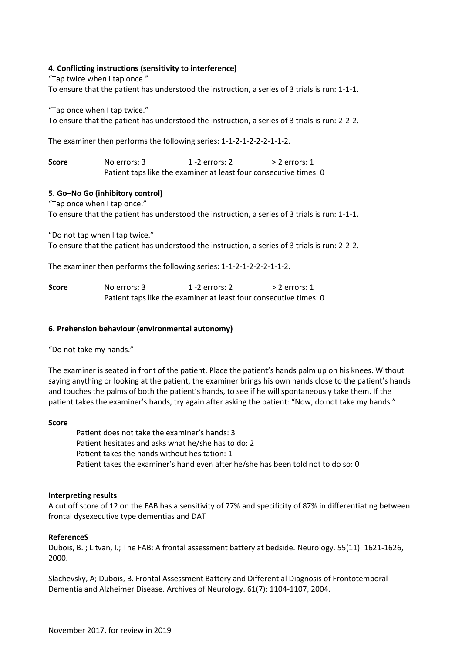### **4. Conflicting instructions (sensitivity to interference)**

"Tap twice when I tap once."

To ensure that the patient has understood the instruction, a series of 3 trials is run: 1-1-1.

"Tap once when I tap twice."

To ensure that the patient has understood the instruction, a series of 3 trials is run: 2-2-2.

The examiner then performs the following series: 1-1-2-1-2-2-2-1-1-2.

**Score** No errors: 3 1 -2 errors: 2 > 2 errors: 1 Patient taps like the examiner at least four consecutive times: 0

### **5. Go–No Go (inhibitory control)**

"Tap once when I tap once."

To ensure that the patient has understood the instruction, a series of 3 trials is run: 1-1-1.

"Do not tap when I tap twice."

To ensure that the patient has understood the instruction, a series of 3 trials is run: 2-2-2.

The examiner then performs the following series: 1-1-2-1-2-2-2-1-1-2.

| Score | No errors: 3                                                      | 1 -2 errors: 2 | $>$ 2 errors: 1 |
|-------|-------------------------------------------------------------------|----------------|-----------------|
|       | Patient taps like the examiner at least four consecutive times: 0 |                |                 |

### **6. Prehension behaviour (environmental autonomy)**

"Do not take my hands."

The examiner is seated in front of the patient. Place the patient's hands palm up on his knees. Without saying anything or looking at the patient, the examiner brings his own hands close to the patient's hands and touches the palms of both the patient's hands, to see if he will spontaneously take them. If the patient takes the examiner's hands, try again after asking the patient: "Now, do not take my hands."

#### **Score**

Patient does not take the examiner's hands: 3 Patient hesitates and asks what he/she has to do: 2 Patient takes the hands without hesitation: 1 Patient takes the examiner's hand even after he/she has been told not to do so: 0

#### **Interpreting results**

A cut off score of 12 on the FAB has a sensitivity of 77% and specificity of 87% in differentiating between frontal dysexecutive type dementias and DAT

### **ReferenceS**

Dubois, B. ; Litvan, I.; The FAB: A frontal assessment battery at bedside. Neurology. 55(11): 1621-1626, 2000.

Slachevsky, A; Dubois, B. Frontal Assessment Battery and Differential Diagnosis of Frontotemporal Dementia and Alzheimer Disease. Archives of Neurology. 61(7): 1104-1107, 2004.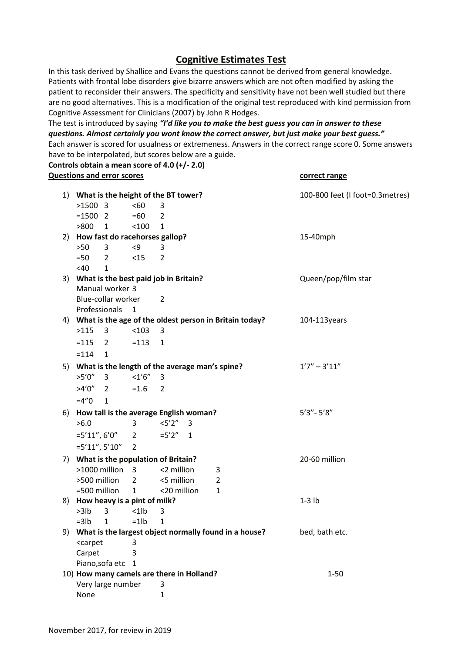## **Cognitive Estimates Test**

In this task derived by Shallice and Evans the questions cannot be derived from general knowledge. Patients with frontal lobe disorders give bizarre answers which are not often modified by asking the patient to reconsider their answers. The specificity and sensitivity have not been well studied but there are no good alternatives. This is a modification of the original test reproduced with kind permission from Cognitive Assessment for Clinicians (2007) by John R Hodges.

The test is introduced by saying *"I'd like you to make the best guess you can in answer to these questions. Almost certainly you wont know the correct answer, but just make your best guess."* Each answer is scored for usualness or extremeness. Answers in the correct range score 0. Some answers have to be interpolated, but scores below are a guide.

**Controls obtain a mean score of 4.0 (+/- 2.0) Questions and error scores correct range**

| 1) What is the height of the BT tower? |                                          |                                                                                  |                                           |                                                           |                     |          | 100-800 feet (I foot=0.3metres)                       |                  |
|----------------------------------------|------------------------------------------|----------------------------------------------------------------------------------|-------------------------------------------|-----------------------------------------------------------|---------------------|----------|-------------------------------------------------------|------------------|
|                                        |                                          | $>1500$ 3                                                                        |                                           | <60                                                       | 3                   |          |                                                       |                  |
|                                        |                                          |                                                                                  | $= 15002$                                 | $=60$                                                     | $\overline{2}$      |          |                                                       |                  |
|                                        |                                          | $>800$ 1                                                                         |                                           | < 100                                                     | 1                   |          |                                                       |                  |
|                                        |                                          |                                                                                  | 2) How fast do racehorses gallop?         |                                                           |                     |          |                                                       | 15-40mph         |
|                                        |                                          | $>50$                                                                            | 3                                         | < 9                                                       | 3                   |          |                                                       |                  |
|                                        |                                          | $=50$                                                                            | $\overline{2}$                            | <15                                                       | $\overline{2}$      |          |                                                       |                  |
|                                        |                                          | <40                                                                              | $\mathbf{1}$                              |                                                           |                     |          |                                                       |                  |
|                                        | 3) What is the best paid job in Britain? |                                                                                  |                                           |                                                           | Queen/pop/film star |          |                                                       |                  |
|                                        |                                          |                                                                                  | Manual worker 3                           |                                                           |                     |          |                                                       |                  |
|                                        |                                          |                                                                                  | Blue-collar worker                        |                                                           | 2                   |          |                                                       |                  |
|                                        |                                          |                                                                                  | Professionals                             | $\mathbf{1}$                                              |                     |          |                                                       |                  |
|                                        |                                          |                                                                                  |                                           | 4) What is the age of the oldest person in Britain today? |                     |          |                                                       | 104-113years     |
|                                        |                                          | $>115$ 3                                                                         |                                           | $< 103$ 3                                                 |                     |          |                                                       |                  |
|                                        |                                          |                                                                                  | $=115$ 2                                  | $= 113 1$                                                 |                     |          |                                                       |                  |
|                                        |                                          | $= 114$                                                                          | 1                                         |                                                           |                     |          |                                                       |                  |
|                                        |                                          |                                                                                  |                                           |                                                           |                     |          | 5) What is the length of the average man's spine?     | $1'7'' - 3'11''$ |
|                                        |                                          | $>5'0''$ 3                                                                       |                                           | $<1'6''$ 3                                                |                     |          |                                                       |                  |
|                                        |                                          |                                                                                  | $>4'0''$ 2                                | $=1.6$ 2                                                  |                     |          |                                                       |                  |
|                                        |                                          |                                                                                  |                                           |                                                           |                     |          |                                                       |                  |
|                                        |                                          | $=4"0$                                                                           | $\mathbf{1}$                              |                                                           |                     |          |                                                       |                  |
|                                        | 6)                                       |                                                                                  | How tall is the average English woman?    |                                                           |                     |          |                                                       | $5'3'' - 5'8''$  |
|                                        |                                          | >6.0                                                                             |                                           | 3                                                         | $<5'2''$ 3          |          |                                                       |                  |
|                                        |                                          |                                                                                  | $=5'11'', 6'0''$ 2                        |                                                           | $=5'2'' \quad 1$    |          |                                                       |                  |
|                                        |                                          |                                                                                  | $=5'11''$ , $5'10''$                      | 2                                                         |                     |          |                                                       |                  |
| 7) What is the population of Britain?  |                                          |                                                                                  |                                           |                                                           | 20-60 million       |          |                                                       |                  |
|                                        |                                          |                                                                                  | $>1000$ million 3                         |                                                           | <2 million          |          | 3                                                     |                  |
|                                        |                                          |                                                                                  | >500 million                              | 2                                                         | <5 million          |          | $\overline{2}$                                        |                  |
|                                        |                                          | =500 million                                                                     |                                           | 1                                                         | <20 million         |          | $\mathbf{1}$                                          |                  |
|                                        | 8) How heavy is a pint of milk?          |                                                                                  |                                           |                                                           |                     | $1-3$ lb |                                                       |                  |
|                                        |                                          | $>3$ lb 3                                                                        |                                           | $<$ 1 $ b $                                               | 3                   |          |                                                       |                  |
|                                        |                                          | $=3lb$                                                                           | $1 \quad$                                 | $=1$ lb                                                   | 1                   |          |                                                       |                  |
|                                        | 9)                                       |                                                                                  |                                           |                                                           |                     |          | What is the largest object normally found in a house? | bed, bath etc.   |
|                                        |                                          | <carpet< td=""><td></td><td>3</td><td></td><td></td><td></td><td></td></carpet<> |                                           | 3                                                         |                     |          |                                                       |                  |
|                                        |                                          | Carpet                                                                           |                                           | 3                                                         |                     |          |                                                       |                  |
|                                        |                                          |                                                                                  | Piano, sofa etc                           | 1                                                         |                     |          |                                                       |                  |
|                                        |                                          |                                                                                  | 10) How many camels are there in Holland? |                                                           |                     |          |                                                       | $1 - 50$         |
|                                        |                                          |                                                                                  | Very large number                         |                                                           | 3                   |          |                                                       |                  |
|                                        |                                          | None                                                                             |                                           |                                                           | 1                   |          |                                                       |                  |
|                                        |                                          |                                                                                  |                                           |                                                           |                     |          |                                                       |                  |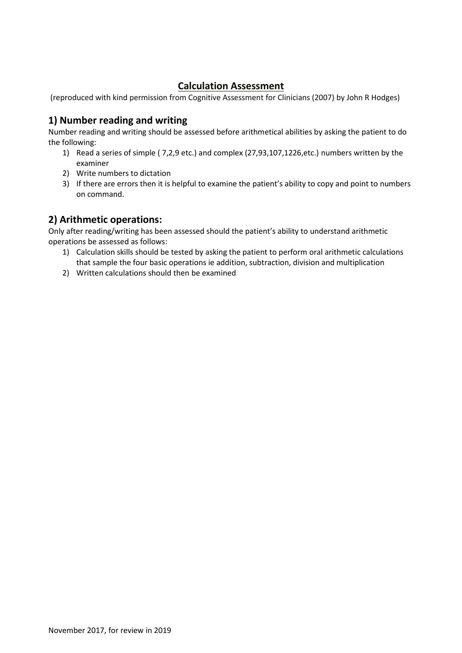# **Calculation Assessment**

(reproduced with kind permission from Cognitive Assessment for Clinicians (2007) by John R Hodges)

# **1) Number reading and writing**

Number reading and writing should be assessed before arithmetical abilities by asking the patient to do the following:

- 1) Read a series of simple ( 7,2,9 etc.) and complex (27,93,107,1226,etc.) numbers written by the examiner
- 2) Write numbers to dictation
- 3) If there are errors then it is helpful to examine the patient's ability to copy and point to numbers on command.

# **2) Arithmetic operations:**

Only after reading/writing has been assessed should the patient's ability to understand arithmetic operations be assessed as follows:

- 1) Calculation skills should be tested by asking the patient to perform oral arithmetic calculations that sample the four basic operations ie addition, subtraction, division and multiplication
- 2) Written calculations should then be examined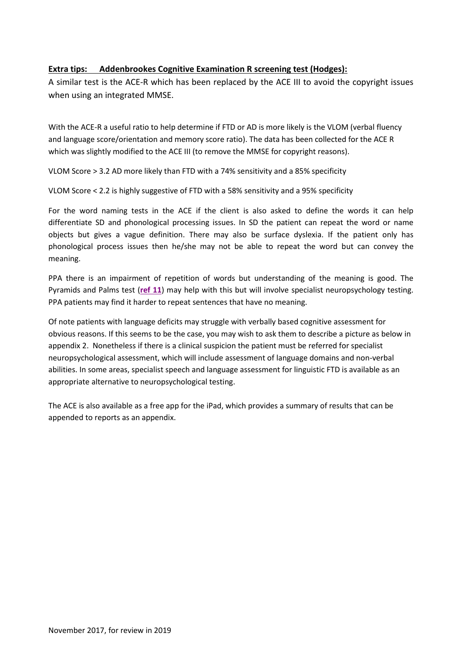### <span id="page-13-0"></span>**Extra tips: Addenbrookes Cognitive Examination R screening test (Hodges):**

A similar test is the ACE-R which has been replaced by the ACE III to avoid the copyright issues when using an integrated MMSE.

With the ACE-R a useful ratio to help determine if FTD or AD is more likely is the VLOM (verbal fluency and language score/orientation and memory score ratio). The data has been collected for the ACE R which was slightly modified to the ACE III (to remove the MMSE for copyright reasons).

VLOM Score > 3.2 AD more likely than FTD with a 74% sensitivity and a 85% specificity

VLOM Score < 2.2 is highly suggestive of FTD with a 58% sensitivity and a 95% specificity

For the word naming tests in the ACE if the client is also asked to define the words it can help differentiate SD and phonological processing issues. In SD the patient can repeat the word or name objects but gives a vague definition. There may also be surface dyslexia. If the patient only has phonological process issues then he/she may not be able to repeat the word but can convey the meaning.

PPA there is an impairment of repetition of words but understanding of the meaning is good. The Pyramids and Palms test (**[ref 11](#page-7-10)**) may help with this but will involve specialist neuropsychology testing. PPA patients may find it harder to repeat sentences that have no meaning.

Of note patients with language deficits may struggle with verbally based cognitive assessment for obvious reasons. If this seems to be the case, you may wish to ask them to describe a picture as below in appendix 2. Nonetheless if there is a clinical suspicion the patient must be referred for specialist neuropsychological assessment, which will include assessment of language domains and non-verbal abilities. In some areas, specialist speech and language assessment for linguistic FTD is available as an appropriate alternative to neuropsychological testing.

The ACE is also available as a free app for the iPad, which provides a summary of results that can be appended to reports as an appendix.